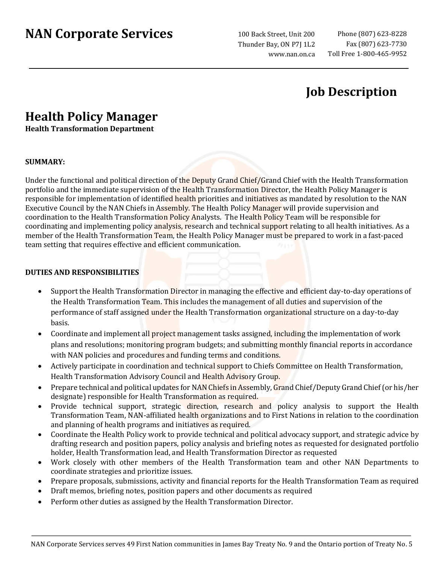# **NAN Corporate Services**

100 Back Street, Unit 200 Thunder Bay, ON P7J 1L2 www.nan.on.ca

## **Job Description**

## **Health Policy Manager**

**Health Transformation Department** 

#### **SUMMARY:**

Under the functional and political direction of the Deputy Grand Chief/Grand Chief with the Health Transformation portfolio and the immediate supervision of the Health Transformation Director, the Health Policy Manager is responsible for implementation of identified health priorities and initiatives as mandated by resolution to the NAN Executive Council by the NAN Chiefs in Assembly. The Health Policy Manager will provide supervision and coordination to the Health Transformation Policy Analysts. The Health Policy Team will be responsible for coordinating and implementing policy analysis, research and technical support relating to all health initiatives. As a member of the Health Transformation Team, the Health Policy Manager must be prepared to work in a fast-paced team setting that requires effective and efficient communication.

### **DUTIES AND RESPONSIBILITIES**

- Support the Health Transformation Director in managing the effective and efficient day-to-day operations of the Health Transformation Team. This includes the management of all duties and supervision of the performance of staff assigned under the Health Transformation organizational structure on a day-to-day basis.
- Coordinate and implement all project management tasks assigned, including the implementation of work plans and resolutions; monitoring program budgets; and submitting monthly financial reports in accordance with NAN policies and procedures and funding terms and conditions.
- Actively participate in coordination and technical support to Chiefs Committee on Health Transformation, Health Transformation Advisory Council and Health Advisory Group.
- Prepare technical and political updates for NAN Chiefs in Assembly, Grand Chief/Deputy Grand Chief (or his/her designate) responsible for Health Transformation as required.
- Provide technical support, strategic direction, research and policy analysis to support the Health Transformation Team, NAN-affiliated health organizations and to First Nations in relation to the coordination and planning of health programs and initiatives as required.
- Coordinate the Health Policy work to provide technical and political advocacy support, and strategic advice by drafting research and position papers, policy analysis and briefing notes as requested for designated portfolio holder, Health Transformation lead, and Health Transformation Director as requested
- Work closely with other members of the Health Transformation team and other NAN Departments to coordinate strategies and prioritize issues.
- Prepare proposals, submissions, activity and financial reports for the Health Transformation Team as required
- Draft memos, briefing notes, position papers and other documents as required
- Perform other duties as assigned by the Health Transformation Director.